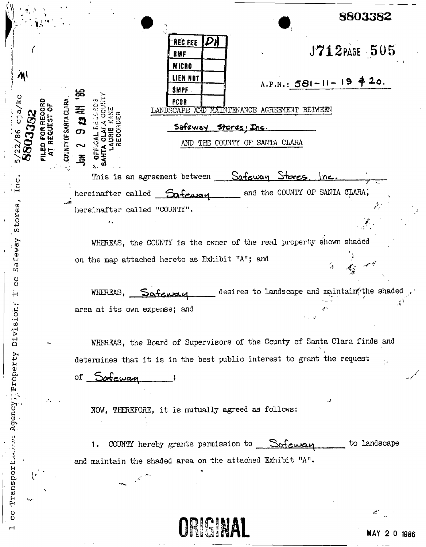|                                                                         |                                                                          |                                                                                                                                                                                                                                                                                                          | 8803382      |
|-------------------------------------------------------------------------|--------------------------------------------------------------------------|----------------------------------------------------------------------------------------------------------------------------------------------------------------------------------------------------------------------------------------------------------------------------------------------------------|--------------|
| $\mathcal{M}$<br>cja<br>13382<br>$\frac{98}{ }$<br>$\frac{22}{30}$<br>m | RECORD<br>EST OF<br>COUNTY OF SANTA CLARA<br>FILED FOR REC<br>AT REQUEST | <b>REC FEE</b> $\boldsymbol{\mathcal{P}}$ H<br>RMF<br><b>MICRO</b><br>LIEN NOT<br>$A.P.N.: 581 - 11 - 19 420.$<br><b>SMPF</b><br>PCOR<br>Ф<br><b>ED 23</b><br>MAINTENANCE AGREEMENT BETWEEN<br>LANDSCAPE<br>AND.<br>Safeway Stores; Inc.<br>$\sigma$<br>THE COUNTY OF SANTA CLARA<br>AND.<br>2<br>鸟<br>Ο | J712PAGE 505 |
| İnc                                                                     |                                                                          | This is an agreement between Safeway Stores.                                                                                                                                                                                                                                                             |              |
| Stores,                                                                 |                                                                          | and the COUNTY OF SANTA CLARA,<br>hereinafter called Safeway<br>hereinafter called "COUNTY".                                                                                                                                                                                                             |              |
|                                                                         |                                                                          | WHEREAS, the COUNTY is the owner of the real property shown shaded                                                                                                                                                                                                                                       |              |
| Safeway<br>č                                                            |                                                                          | on the map attached hereto as Exhibit "A"; and                                                                                                                                                                                                                                                           |              |
| ⊶                                                                       |                                                                          | desires to landscape and maintain, the shade<br>WHEREAS,<br>Safenzan                                                                                                                                                                                                                                     |              |
|                                                                         |                                                                          | area at its own expense; and<br>ان با ا                                                                                                                                                                                                                                                                  |              |
|                                                                         | ь.,                                                                      | WHEREAS, the Board of Supervisors of the County of Santa Clara finds and                                                                                                                                                                                                                                 |              |
|                                                                         |                                                                          | determines that it is in the best public interest to grant the request                                                                                                                                                                                                                                   |              |
|                                                                         |                                                                          | Safeway<br>оf                                                                                                                                                                                                                                                                                            |              |
| Agency, Property Division;                                              |                                                                          | NOW, THEREFORE, it is mutually agreed as follows:                                                                                                                                                                                                                                                        |              |
|                                                                         |                                                                          | COUNTY hereby grants permission to $\sqrt{\frac{1}{C}}$<br>1.                                                                                                                                                                                                                                            | to landscape |
|                                                                         |                                                                          | and maintain the shaded area on the attached Exhibit "A".                                                                                                                                                                                                                                                |              |
| Transpor                                                                |                                                                          |                                                                                                                                                                                                                                                                                                          |              |
| U<br>U                                                                  |                                                                          | <b>ORIGINAL</b>                                                                                                                                                                                                                                                                                          |              |

ORIGINAL

 $\sim 10^{-11}$  k

 $\sim$   $-$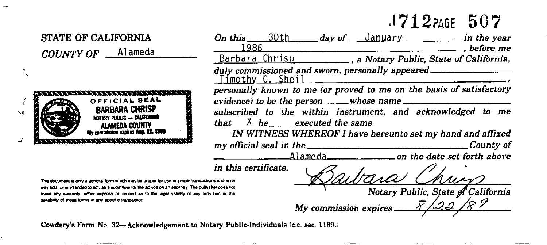## $.1712$ PAGE 507



Cowdery's Form No. 32--Acknowledgement to Notary Public-Individuals (c.c. sec. 1189.)

۰.,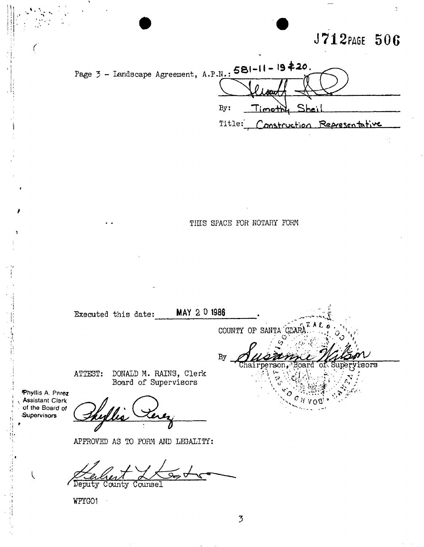## J712PAGE 506



THIS SPACE FOR NOTARY FORM

MAY 2 0 1986 Executed this date: COUNTY OF SANTA  $By$  $\overline{\text{Chain}}$ **BTO** DONALD M. RAINS, Clerk ATTEST: Board of Supervisors Phyllis A. Perez **Assistant Clerk** of the Board of Supervisors

APPROVED AS TO FORM AND LEGALITY:

Deputy County Counsel

WPYGO1

 $\overline{\mathcal{L}}$ 

 $\overline{3}$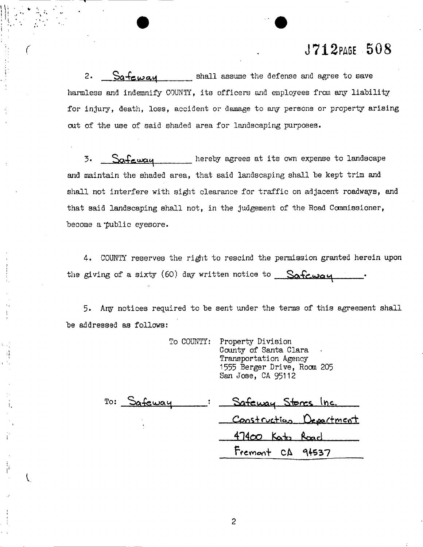### **R J712PAG E 50 8**

2.  $S$ a $-$ feway shall assume the defense and agree to save harmless and indemnify C0UNTT, its officers and employees from any liability for injury, death, loss, accident or damage to any persons or property arising out of the use of said shaded area for landscaping purposes.

**3.** Safeway hereby agrees at its own expense to landscape and maintain the shaded area, that said landscaping shall be kept trim and shall not interfere with sight clearance for traffic on adjacent roadways, and that said landscaping shall not, in the judgement of the Road Commissioner, become a "public eyesore.

4. COUNTY reserves the right to rescind the permission granted herein upon the giving of a sixty (60) day written notice to  $\qquad$  Safcwau

5- Any notices required to be sent under the terms of this agreement shall be addressed as follows:

> To COUNTY: Property Division County of Santa Clara Transportation Agency 1555 Berger Drive, Room 205 San Jose, CA 95112 To: Safeway <u>Safeway Stores Inc</u> Construction Department **414 OP fodn fcoarl**

**I**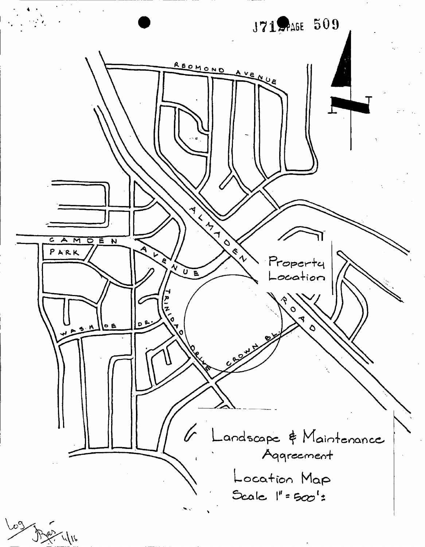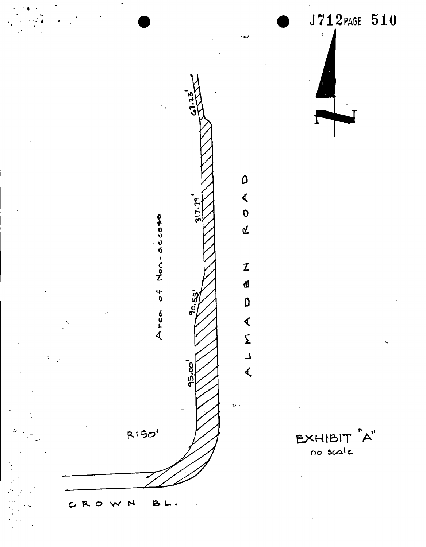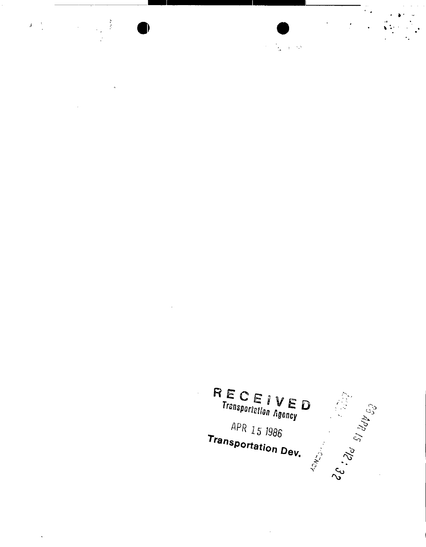

 $\label{eq:J} \mathbf{J} = \frac{\mathbf{V}}{2} \left[ \begin{array}{ccc} \mathbf{V} & \mathbf{V} & \mathbf{V} \\ \mathbf{V} & \mathbf{V} & \mathbf{V} \\ \mathbf{V} & \mathbf{V} & \mathbf{V} \end{array} \right] \times \left[ \begin{array}{ccc} \mathbf{V} & \mathbf{V} & \mathbf{V} \\ \mathbf{V} & \mathbf{V} & \mathbf{V} \\ \mathbf{V} & \mathbf{V} & \mathbf{V} \end{array} \right]$ 

 $\mathbf{r}$ 

 $\ddot{\phantom{0}}$ 

 $R_{\text{Transportation}}^{\text{E}}$  ( $\sum_{\text{Transportation}}^{\text{E}}$  )  $\sum_{\text{Ggency}}$ **CE:** and SI date go APR 15 1986 **Transportation Dev. LONSON** 

 $\bar{\phantom{a}}$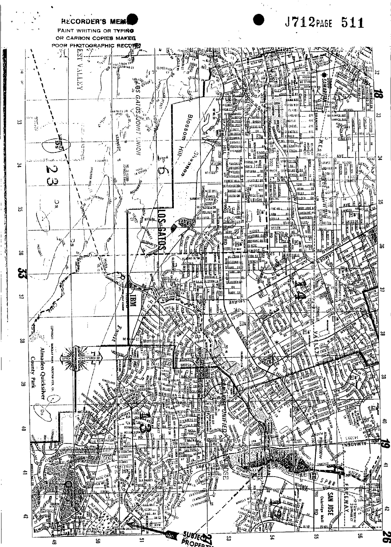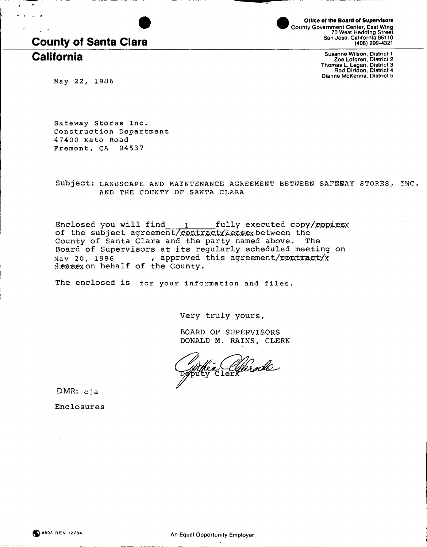# County of Santa Clara

County Government Center, East Wing 70 West Hedding Street San Jose, California 95110 (408) 299-4321 Office of the Board of Supervisors

Susanne Wilson, District 1<br>Zoe Lofgren, District 2<br>Thomas L. Legan, District 3<br>Rod Diridon, District 4 Dianne McKenna, District 5

**M a y 22 , 198 6** 

Safeway Stores Inc. **Construction Department 4740 0 Kat o Roa d Fremont , C A 9453 7** 

**Subject : LANDSCAP E AN D MAINTENANC E AGREEMEN T BETWEE N SAFEHA Y STORES , INC .**  AND THE COUNTY OF SANTA CLARA

Enclosed you will find  $\quad$  i fully executed copy/copiesx of the subject agreement/contractyleasex between the County of Santa Clara and the party named above. The Board of Supervisors at its regularly scheduled meeting on May 20, 1986 , approved this agreement/contract/x deasex on behalf of the County.

The enclosed is for your information and files.

Very truly yours

BOARD OF SUPERVISORS DONALD M. RAINS, CLERK

a Clarado

DMR: cja

Enclosures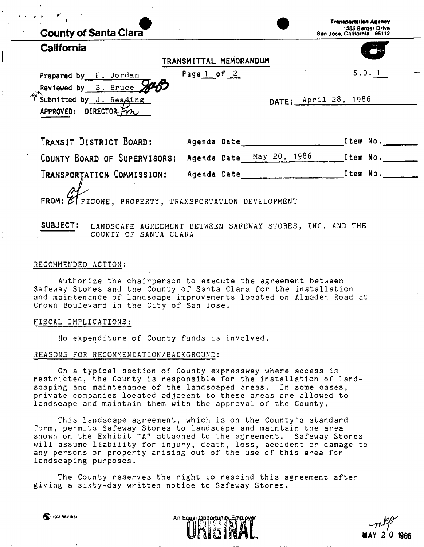| <b>County of Santa Clara</b>                                             |                          | <b>Transportation Agency</b><br>1555 Berger Drive<br>San Jose, California 95112 |          |  |
|--------------------------------------------------------------------------|--------------------------|---------------------------------------------------------------------------------|----------|--|
| California                                                               | TRANSMITTAL MEMORANDUM   |                                                                                 |          |  |
| Prepared by F. Jordan<br>Reviewed by S. Bruce SA                         | Page 1 of $2$            |                                                                                 | S.D. 1   |  |
| $\mathcal{A}_{\nu}$<br>Submitted by J. Reading<br>APPROVED: DIRECTOR-FOR |                          | DATE: April 28, 1986                                                            |          |  |
| TRANSIT DISTRICT BOARD:                                                  | Agenda Date              |                                                                                 | Item No. |  |
| COUNTY BOARD OF SUPERVISORS:                                             | Agenda Date May 20, 1986 |                                                                                 | Item No. |  |
| Transportation Commission:                                               | Agenda Date              |                                                                                 | Item No. |  |

FROM:  $\mathbb{Z}$  FIGONE, PROPERTY, TRANSPORTATION DEVELOPMENT

**SUBJECT: LANDSCAPE AGREEMENT BETWEEN SAFEWAY STORES, INC. AND THE COUNTY OF SANTA CLARA** 

#### RECOMMENDED ACTION:

Authorize the chairperson to execute the agreement between Safeway Stores and the County of Santa Clara for the installation and maintenance of landscape improvements located on Almaden Road at Crown Boulevard in the City of San Jose.

#### FISCAL IMPLICATIONS:

No expenditure of County funds is involved.

#### REASONS FOR RECOMMENDATION/BACKGROUND:

On a typical section of County expressway where access is restricted, the County is responsible for the installation of landscaping and maintenance of the landscaped areas. In some cases, private companies located adjacent to these areas are allowed to landscape and maintain them with the approval of the County.

This landscape agreement, which is on the County's standard form, permits Safeway Stores to landscape and maintain the area shown on the Exhibit "A" attached to the agreement. Safeway Stores will assume liability for injury, death, loss, accident or damage to any persons or property arising out of the use of this area for landscaping purposes.

The County reserves the right to rescind this agreement after giving a sixty-day written notice to Safeway Stores.

*^ J f*  **MAY 2 0 1986**